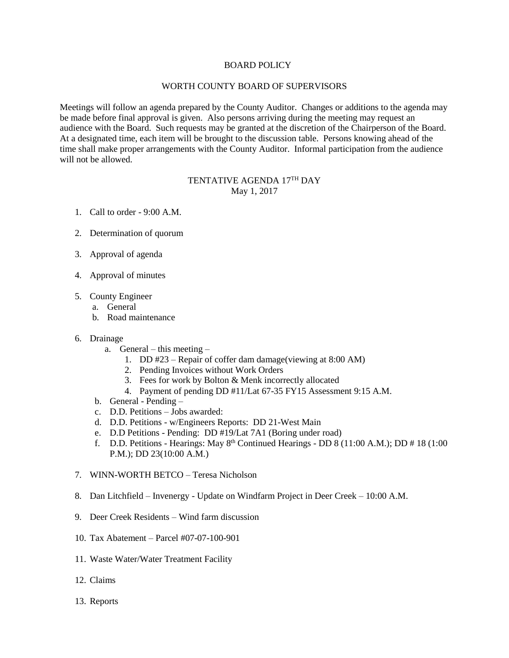## BOARD POLICY

## WORTH COUNTY BOARD OF SUPERVISORS

Meetings will follow an agenda prepared by the County Auditor. Changes or additions to the agenda may be made before final approval is given. Also persons arriving during the meeting may request an audience with the Board. Such requests may be granted at the discretion of the Chairperson of the Board. At a designated time, each item will be brought to the discussion table. Persons knowing ahead of the time shall make proper arrangements with the County Auditor. Informal participation from the audience will not be allowed.

## TENTATIVE AGENDA 17<sup>TH</sup> DAY May 1, 2017

- 1. Call to order 9:00 A.M.
- 2. Determination of quorum
- 3. Approval of agenda
- 4. Approval of minutes
- 5. County Engineer
	- a. General
	- b. Road maintenance

## 6. Drainage

- a. General this meeting
	- 1. DD #23 Repair of coffer dam damage(viewing at 8:00 AM)
	- 2. Pending Invoices without Work Orders
	- 3. Fees for work by Bolton & Menk incorrectly allocated
	- 4. Payment of pending DD #11/Lat 67-35 FY15 Assessment 9:15 A.M.
- b. General Pending –
- c. D.D. Petitions Jobs awarded:
- d. D.D. Petitions w/Engineers Reports: DD 21-West Main
- e. D.D Petitions Pending: DD #19/Lat 7A1 (Boring under road)
- f. D.D. Petitions Hearings: May  $8<sup>th</sup>$  Continued Hearings DD 8 (11:00 A.M.); DD # 18 (1:00 P.M.); DD 23(10:00 A.M.)
- 7. WINN-WORTH BETCO Teresa Nicholson
- 8. Dan Litchfield Invenergy Update on Windfarm Project in Deer Creek 10:00 A.M.
- 9. Deer Creek Residents Wind farm discussion
- 10. Tax Abatement Parcel #07-07-100-901
- 11. Waste Water/Water Treatment Facility
- 12. Claims
- 13. Reports